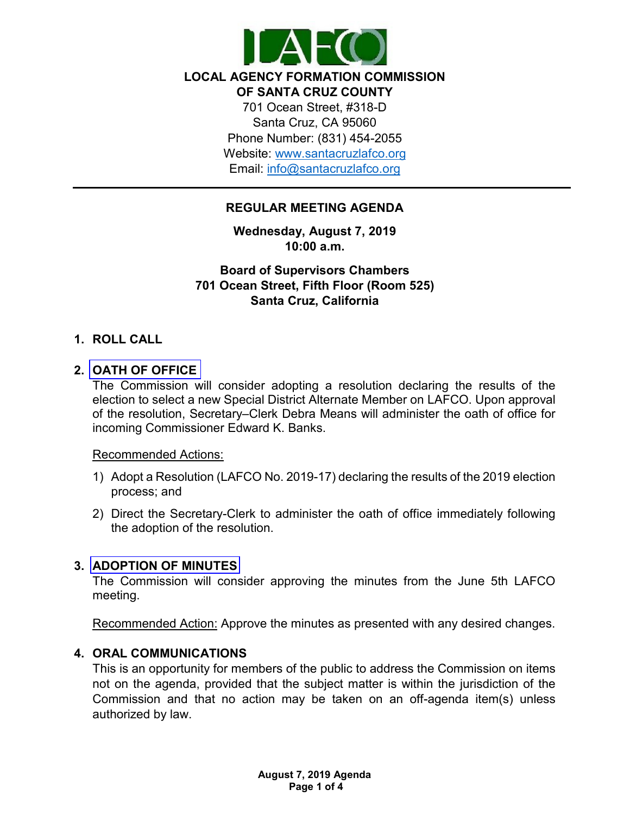

**LOCAL AGENCY FORMATION COMMISSION** 

**OF SANTA CRUZ COUNTY**

701 Ocean Street, #318-D Santa Cruz, CA 95060 Phone Number: (831) 454-2055 Website: [www.santacruzlafco.org](http://www.santacruzlafco.org/) Email: [info@santacruzlafco.org](mailto:info@santacruzlafco.org)

# **REGULAR MEETING AGENDA**

**Wednesday, August 7, 2019 10:00 a.m.**

**Board of Supervisors Chambers 701 Ocean Street, Fifth Floor (Room 525) Santa Cruz, California**

## **1. ROLL CALL**

## **2. [OATH OF OFFICE](https://www.santacruzlafco.org/wp-content/uploads/2019/07/2.0-SD-Selection-Results-SR-WEB.pdf)**

The Commission will consider adopting a resolution declaring the results of the election to select a new Special District Alternate Member on LAFCO. Upon approval of the resolution, Secretary–Clerk Debra Means will administer the oath of office for incoming Commissioner Edward K. Banks.

#### Recommended Actions:

- 1) Adopt a Resolution (LAFCO No. 2019-17) declaring the results of the 2019 election process; and
- 2) Direct the Secretary-Clerk to administer the oath of office immediately following the adoption of the resolution.

## **3. [ADOPTION OF MINUTES](https://www.santacruzlafco.org/wp-content/uploads/2019/07/3.0-Meeting-Minutes.pdf)**

The Commission will consider approving the minutes from the June 5th LAFCO meeting.

Recommended Action: Approve the minutes as presented with any desired changes.

# **4. ORAL COMMUNICATIONS**

This is an opportunity for members of the public to address the Commission on items not on the agenda, provided that the subject matter is within the jurisdiction of the Commission and that no action may be taken on an off-agenda item(s) unless authorized by law.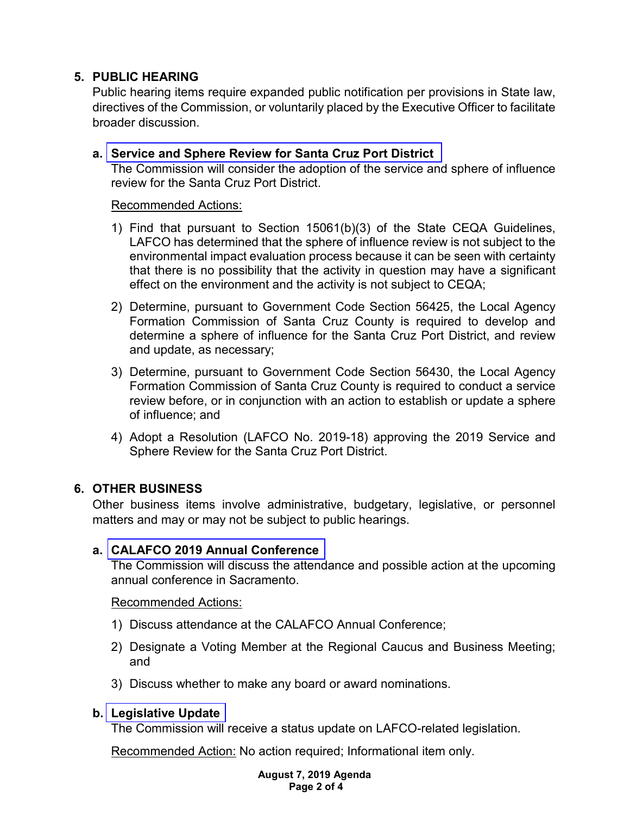# **5. PUBLIC HEARING**

Public hearing items require expanded public notification per provisions in State law, directives of the Commission, or voluntarily placed by the Executive Officer to facilitate broader discussion.

## **a. [Service and Sphere Review for Santa Cruz Port District](https://www.santacruzlafco.org/wp-content/uploads/2019/07/5a.0-Port-District-MSR-SR-FINAL.pdf)**

The Commission will consider the adoption of the service and sphere of influence review for the Santa Cruz Port District.

#### Recommended Actions:

- 1) Find that pursuant to Section 15061(b)(3) of the State CEQA Guidelines, LAFCO has determined that the sphere of influence review is not subject to the environmental impact evaluation process because it can be seen with certainty that there is no possibility that the activity in question may have a significant effect on the environment and the activity is not subject to CEQA;
- 2) Determine, pursuant to Government Code Section 56425, the Local Agency Formation Commission of Santa Cruz County is required to develop and determine a sphere of influence for the Santa Cruz Port District, and review and update, as necessary;
- 3) Determine, pursuant to Government Code Section 56430, the Local Agency Formation Commission of Santa Cruz County is required to conduct a service review before, or in conjunction with an action to establish or update a sphere of influence; and
- 4) Adopt a Resolution (LAFCO No. 2019-18) approving the 2019 Service and Sphere Review for the Santa Cruz Port District.

# **6. OTHER BUSINESS**

Other business items involve administrative, budgetary, legislative, or personnel matters and may or may not be subject to public hearings.

## **a. [CALAFCO 2019 Annual Conference](https://www.santacruzlafco.org/wp-content/uploads/2019/07/6a.0-CALAFCO-Update-SR-WEB.pdf)**

The Commission will discuss the attendance and possible action at the upcoming annual conference in Sacramento.

## Recommended Actions:

- 1) Discuss attendance at the CALAFCO Annual Conference;
- 2) Designate a Voting Member at the Regional Caucus and Business Meeting; and
- 3) Discuss whether to make any board or award nominations.

## **b. [Legislative Update](https://www.santacruzlafco.org/wp-content/uploads/2019/07/6b.0-Leg-Update-Staff-Report-WEB.pdf)**

The Commission will receive a status update on LAFCO-related legislation.

Recommended Action: No action required; Informational item only.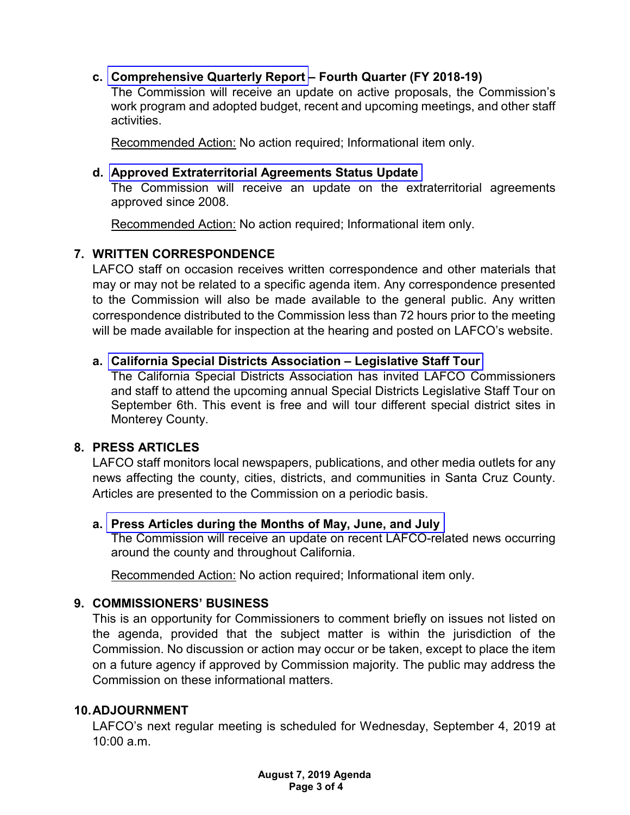# **c. [Comprehensive Quarterly Report](https://www.santacruzlafco.org/wp-content/uploads/2019/07/6c.0-Comp-Quarterly-Update-Staff-Report-WEB.pdf) – Fourth Quarter (FY 2018-19)**

The Commission will receive an update on active proposals, the Commission's work program and adopted budget, recent and upcoming meetings, and other staff activities.

Recommended Action: No action required; Informational item only.

#### **d. Approved [Extraterritorial Agreements](https://www.santacruzlafco.org/wp-content/uploads/2019/07/6d.0-Extraterritorial-Update-SR-WEB.pdf) Status Update**

The Commission will receive an update on the extraterritorial agreements approved since 2008.

Recommended Action: No action required; Informational item only.

## **7. WRITTEN CORRESPONDENCE**

LAFCO staff on occasion receives written correspondence and other materials that may or may not be related to a specific agenda item. Any correspondence presented to the Commission will also be made available to the general public. Any written correspondence distributed to the Commission less than 72 hours prior to the meeting will be made available for inspection at the hearing and posted on LAFCO's website.

## **a. [California Special Districts Association –](https://www.santacruzlafco.org/wp-content/uploads/2019/07/7a.1-Attachment-CSDA-Tour.pdf) Legislative Staff Tour**

The California Special Districts Association has invited LAFCO Commissioners and staff to attend the upcoming annual Special Districts Legislative Staff Tour on September 6th. This event is free and will tour different special district sites in Monterey County.

## **8. PRESS ARTICLES**

LAFCO staff monitors local newspapers, publications, and other media outlets for any news affecting the county, cities, districts, and communities in Santa Cruz County. Articles are presented to the Commission on a periodic basis.

## **a. [Press Articles during the Months](https://www.santacruzlafco.org/wp-content/uploads/2019/07/8a.0-Press-Articles-Staff-Report-WEB.pdf) of May, June, and July**

The Commission will receive an update on recent LAFCO-related news occurring around the county and throughout California.

Recommended Action: No action required; Informational item only.

## **9. COMMISSIONERS' BUSINESS**

This is an opportunity for Commissioners to comment briefly on issues not listed on the agenda, provided that the subject matter is within the jurisdiction of the Commission. No discussion or action may occur or be taken, except to place the item on a future agency if approved by Commission majority. The public may address the Commission on these informational matters.

## **10.ADJOURNMENT**

LAFCO's next regular meeting is scheduled for Wednesday, September 4, 2019 at 10:00 a.m.